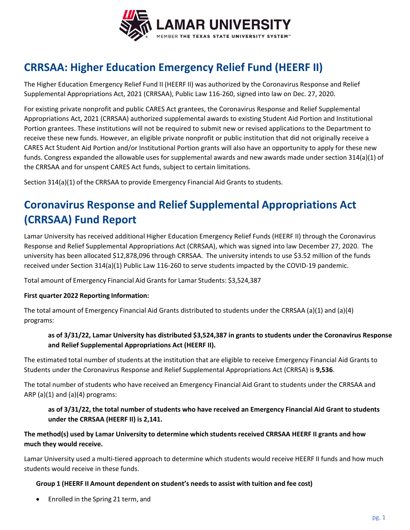

# **CRRSAA: Higher Education Emergency Relief Fund (HEERF II)**

The Higher Education Emergency Relief Fund II (HEERF II) was authorized by the Coronavirus Response and Relief Supplemental Appropriations Act, 2021 (CRRSAA), Public Law 116‐260, signed into law on Dec. 27, 2020.

For existing private nonprofit and public CARES Act grantees, the Coronavirus Response and Relief Supplemental Appropriations Act, 2021 (CRRSAA) authorized supplemental awards to existing Student Aid Portion and Institutional Portion grantees. These institutions will not be required to submit new or revised applications to the Department to receive these new funds. However, an eligible private nonprofit or public institution that did not originally receive a CARES Act Student Aid Portion and/or Institutional Portion grants will also have an opportunity to apply for these new funds. Congress expanded the allowable uses for supplemental awards and new awards made under section 314(a)(1) of the CRRSAA and for unspent CARES Act funds, subject to certain limitations.

Section 314(a)(1) of the CRRSAA to provide Emergency Financial Aid Grants to students.

# **Coronavirus Response and Relief Supplemental Appropriations Act (CRRSAA) Fund Report**

Lamar University has received additional Higher Education Emergency Relief Funds (HEERF II) through the Coronavirus Response and Relief Supplemental Appropriations Act (CRRSAA), which was signed into law December 27, 2020. The university has been allocated \$12,878,096 through CRRSAA. The university intends to use \$3.52 million of the funds received under Section 314(a)(1) Public Law 116‐260 to serve students impacted by the COVID‐19 pandemic.

Total amount of Emergency Financial Aid Grants for Lamar Students: \$3,524,387

## **First quarter 2022 Reporting Information:**

The total amount of Emergency Financial Aid Grants distributed to students under the CRRSAA (a)(1) and (a)(4) programs:

# **as of 3/31/22, Lamar University has distributed \$3,524,387 in grants to students under the Coronavirus Response and Relief Supplemental Appropriations Act (HEERF II).**

The estimated total number of students at the institution that are eligible to receive Emergency Financial Aid Grants to Students under the Coronavirus Response and Relief Supplemental Appropriations Act (CRRSA) is **9,536**.

The total number of students who have received an Emergency Financial Aid Grant to students under the CRRSAA and ARP (a) $(1)$  and  $(a)(4)$  programs:

## as of 3/31/22, the total number of students who have received an Emergency Financial Aid Grant to students **under the CRRSAA (HEERF II) is 2,141.**

## The method(s) used by Lamar University to determine which students received CRRSAA HEERF II grants and how **much they would receive.**

Lamar University used a multi-tiered approach to determine which students would receive HEERF II funds and how much students would receive in these funds.

## **Group 1 (HEERF II Amount dependent on student's needs to assist with tuition and fee cost)**

• Enrolled in the Spring 21 term, and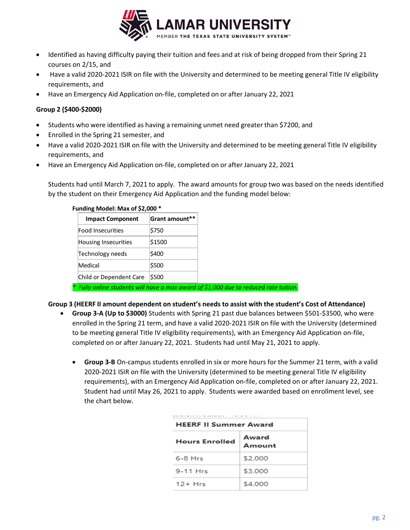

- Identified as having difficulty paying their tuition and fees and at risk of being dropped from their Spring 21 courses on 2/15, and
- Have a valid 2020-2021 ISIR on file with the University and determined to be meeting general Title IV eligibility requirements, and
- Have an Emergency Aid Application on‐file, completed on or after January 22, 2021

#### **Group 2 (\$400‐\$2000)**

- Students who were identified as having a remaining unmet need greater than \$7200, and
- Enrolled in the Spring 21 semester, and
- Have a valid 2020-2021 ISIR on file with the University and determined to be meeting general Title IV eligibility requirements, and
- Have an Emergency Aid Application on‐file, completed on or after January 22, 2021

Students had until March 7, 2021 to apply. The award amounts for group two was based on the needs identified by the student on their Emergency Aid Application and the funding model below:

| <b>Impact Component</b>     | <b>Grant amount**</b> |  |  |
|-----------------------------|-----------------------|--|--|
| Food Insecurities           | \$750                 |  |  |
| <b>Housing Insecurities</b> | \$1500                |  |  |
| Technology needs            | \$400                 |  |  |
| Medical                     | \$500                 |  |  |
| Child or Dependent Care     | \$500                 |  |  |

#### **Funding Model: Max of \$2,000 \***

*\* Fully online students will have a max award of \$1,000 due to reduced rate tuition.*

#### **Group 3 (HEERF II amount dependent on student's needs to assist with the student's Cost of Attendance)**

- **Group 3‐A (Up to \$3000)** Students with Spring 21 past due balances between \$501‐\$3500, who were enrolled in the Spring 21 term, and have a valid 2020‐2021 ISIR on file with the University (determined to be meeting general Title IV eligibility requirements), with an Emergency Aid Application on‐file, completed on or after January 22, 2021. Students had until May 21, 2021 to apply.
	- **Group 3‐B** On‐campus students enrolled in six or more hours for the Summer 21 term, with a valid 2020‐2021 ISIR on file with the University (determined to be meeting general Title IV eligibility requirements), with an Emergency Aid Application on‐file, completed on or after January 22, 2021. Student had until May 26, 2021 to apply. Students were awarded based on enrollment level, see the chart below.

| <b>HEERF II Summer Award</b> |                 |  |  |
|------------------------------|-----------------|--|--|
| <b>Hours Enrolled</b>        | Award<br>Amount |  |  |
| $6-8$ Hrs                    | \$2,000         |  |  |
| 9-11 Hrs                     | \$3,000         |  |  |
| $12 + Hrs$                   | \$4.000         |  |  |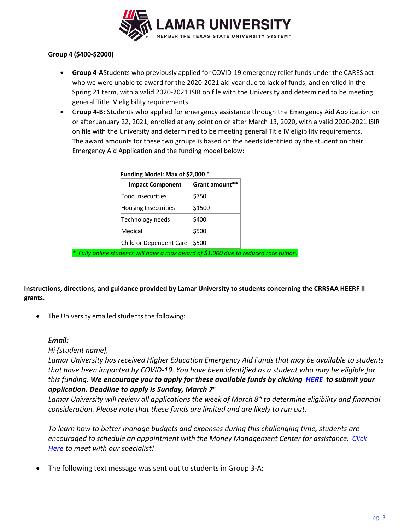

#### **Group 4 (\$400‐\$2000)**

- **Group 4‐A**Students who previously applied for COVID‐19 emergency relief funds under the CARES act who we were unable to award for the 2020‐2021 aid year due to lack of funds; and enrolled in the Spring 21 term, with a valid 2020‐2021 ISIR on file with the University and determined to be meeting general Title IV eligibility requirements.
- G**roup 4‐B:** Students who applied for emergency assistance through the Emergency Aid Application on or after January 22, 2021, enrolled at any point on or after March 13, 2020, with a valid 2020‐2021 ISIR on file with the University and determined to be meeting general Title IV eligibility requirements. The award amounts for these two groups is based on the needs identified by the student on their Emergency Aid Application and the funding model below:

| Funding Model: Max of \$2,000 * |                       |  |  |  |
|---------------------------------|-----------------------|--|--|--|
| <b>Impact Component</b>         | <b>Grant amount**</b> |  |  |  |
| <b>Food Insecurities</b>        | \$750                 |  |  |  |
| <b>Housing Insecurities</b>     | \$1500                |  |  |  |
| Technology needs                | \$400                 |  |  |  |
| Medical                         | \$500                 |  |  |  |
| Child or Dependent Care         | \$500                 |  |  |  |

*\* Fully online students will have a max award of \$1,000 due to reduced rate tuition.*

**Instructions, directions, and guidance provided by Lamar University to students concerning the CRRSAA HEERF II grants.**

The University emailed students the following:

#### *Email:*

#### *Hi {student name},*

*Lamar University has received Higher Education Emergency Aid Funds that may be available to students* that have been impacted by COVID-19. You have been identified as a student who may be eligible for *this funding. We encourage you to apply for these available funds by clicking HERE to submit your application. Deadline to apply is Sunday, March 7th.*

*Lamar University will review all applications the week of March 8th to determine eligibility and financial consideration. Please note that these funds are limited and are likely to run out.*

*To learn how to better manage budgets and expenses during this challenging time, students are encouraged to schedule an appointment with the Money Management Center for assistance. Click Here to meet with our specialist!*

The following text message was sent out to students in Group 3‐A: